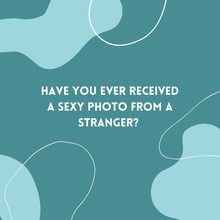## HAVE YOU EVER RECEIVED A SEXY PHOTO FROM A STRANGER?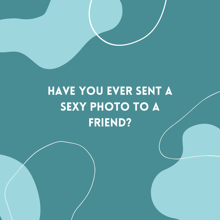## HAVE YOU EVER SENT A SEXY PHOTO TO A FRIEND?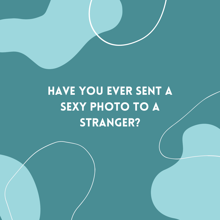# HAVE YOU EVER SENT A SEXY PHOTO TO A STRANGER?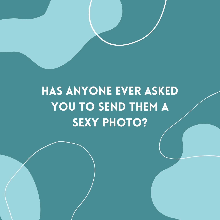### HAS ANYONE EVER ASKED YOU TO SEND THEM A **SEXY PHOTO?**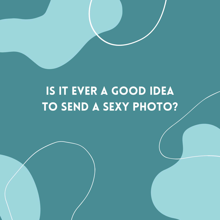### IS IT EVER A GOOD IDEA TO SEND A SEXY PHOTO?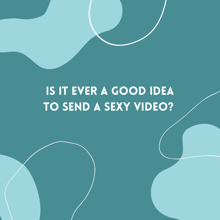### IS IT EVER A GOOD IDEA TO SEND A SEXY VIDEO?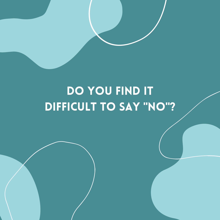### DO YOU FIND IT DIFFICULT TO SAY "NO"?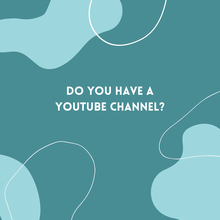### DO YOU HAVE A YOUTUBE CHANNEL?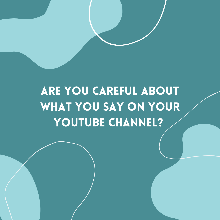## ARE YOU CAREFUL ABOUT WHAT YOU SAY ON YOUR YOUTUBE CHANNEL?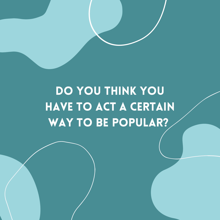# DO YOU THINK YOU HAVE TO ACT A CERTAIN WAY TO BE POPULAR?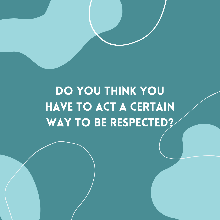# DO YOU THINK YOU HAVE TO ACT A CERTAIN WAY TO BE RESPECTED?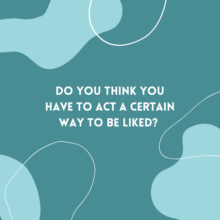# DO YOU THINK YOU HAVE TO ACT A CERTAIN WAY TO BE LIKED?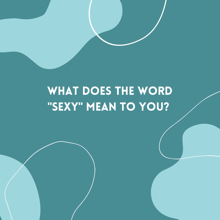#### WHAT DOES THE WORD "SEXY" MEAN TO YOU?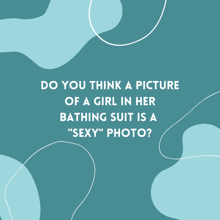# DO YOU THINK A PICTURE OF A GIRL IN HER BATHING SUIT IS A "SEXY" PHOTO?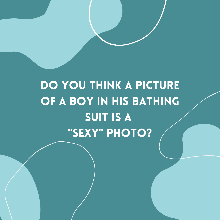### DO YOU THINK A PICTURE OF A BOY IN HIS BATHING SUIT IS A "SEXY" PHOTO?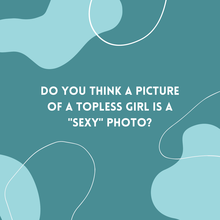### DO YOU THINK A PICTURE OF A TOPLESS GIRL IS A "SEXY" PHOTO?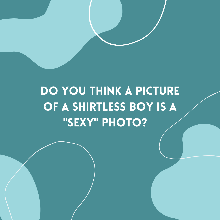### DO YOU THINK A PICTURE OF A SHIRTLESS BOY IS A "SEXY" PHOTO?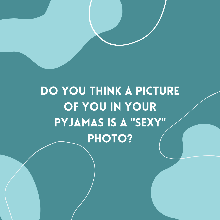# DO YOU THINK A PICTURE OF YOU IN YOUR PYJAMAS IS A "SEXY" PHOTO?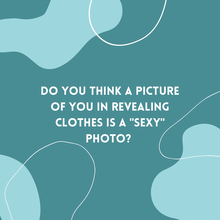# DO YOU THINK A PICTURE OF YOU IN REVEALING CLOTHES IS A "SEXY" PHOTO?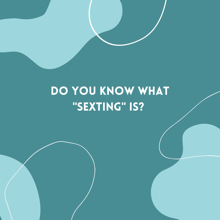#### DO YOU KNOW WHAT "SEXTING" IS?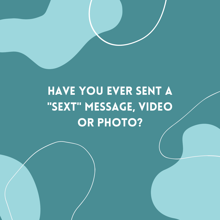# HAVE YOU EVER SENT A "SEXT" MESSAGE, VIDEO OR PHOTO?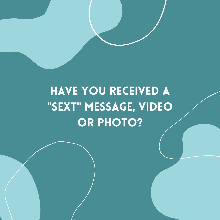# HAVE YOU RECEIVED A "SEXT" MESSAGE, VIDEO OR PHOTO?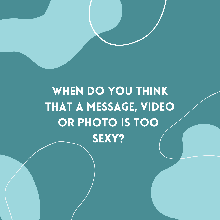# WHEN DO YOU THINK THAT A MESSAGE, VIDEO OR PHOTO IS TOO SEXY?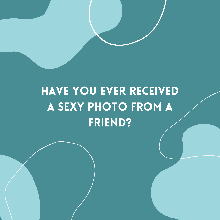## HAVE YOU EVER RECEIVED A SEXY PHOTO FROM A FRIEND?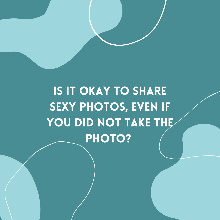# **IS IT OKAY TO SHARE** SEXY PHOTOS, EVEN IF YOU DID NOT TAKE THE PHOTO?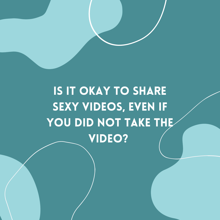# IS IT OKAY TO SHARE SEXY VIDEOS, EVEN IF YOU DID NOT TAKE THE VIDEO?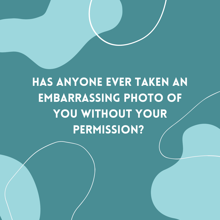# HAS ANYONE EVER TAKEN AN EMBARRASSING PHOTO OF YOU WITHOUT YOUR PERMISSION?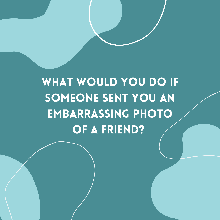# WHAT WOULD YOU DO IF SOMEONE SENT YOU AN EMBARRASSING PHOTO OF A FRIEND?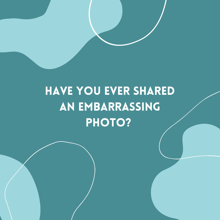## HAVE YOU EVER SHARED AN EMBARRASSING PHOTO?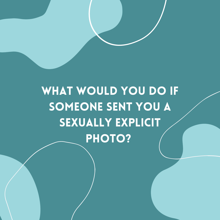# WHAT WOULD YOU DO IF SOMEONE SENT YOU A SEXUALLY EXPLICIT PHOTO?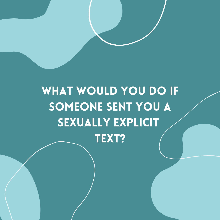# WHAT WOULD YOU DO IF SOMEONE SENT YOU A SEXUALLY EXPLICIT TEXT?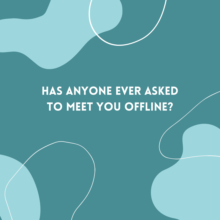#### HAS ANYONE EVER ASKED TO MEET YOU OFFLINE?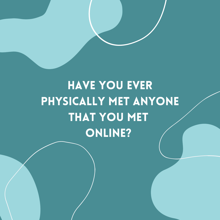# HAVE YOU EVER PHYSICALLY MET ANYONE THAT YOU MET ONLINE?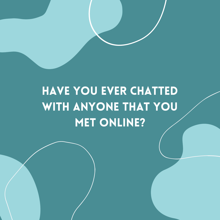# HAVE YOU EVER CHATTED WITH ANYONE THAT YOU **MET ONLINE?**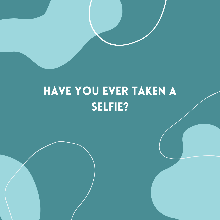#### HAVE YOU EVER TAKEN A SELFIE?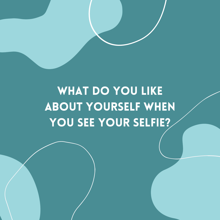## WHAT DO YOU LIKE ABOUT YOURSELF WHEN YOU SEE YOUR SELFIE?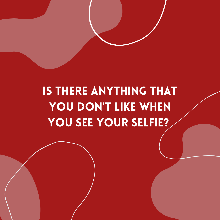## IS THERE ANYTHING THAT YOU DON'T LIKE WHEN YOU SEE YOUR SELFIE?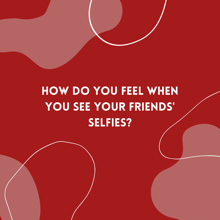## HOW DO YOU FEEL WHEN YOU SEE YOUR FRIENDS' SELFIES?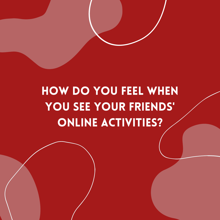## HOW DO YOU FEEL WHEN YOU SEE YOUR FRIENDS' ONLINE ACTIVITIES?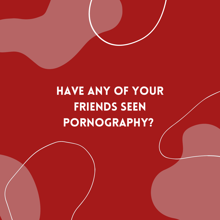# HAVE ANY OF YOUR FRIENDS SEEN PORNOGRAPHY?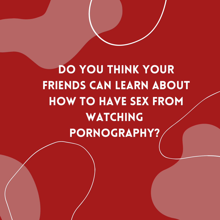DO YOU THINK YOUR FRIENDS CAN LEARN ABOUT HOW TO HAVE SEX FROM WATCHING PORNOGRAPHY?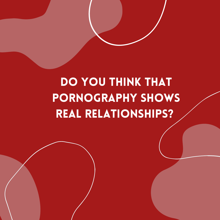## DO YOU THINK THAT PORNOGRAPHY SHOWS REAL RELaTIONSHIPS?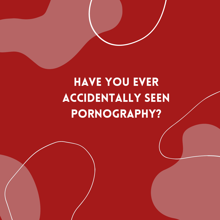## HAVE YOU EVER ACCIDENTALLY SEEN PORNOGRAPHY?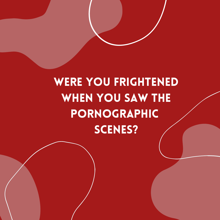# WERE YOU FRIGHTENED WHEN YOU SAW THE PORNOGRAPHIC SCENES?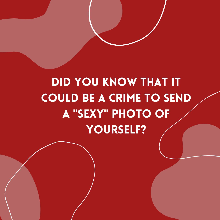# DID YOU KNOW THAT IT COULD BE A CRIME TO SEND A "SEXY" PHOTO OF YOURSELF?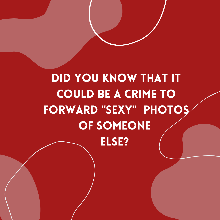#### DID YOU KNOW THAT IT COULD BE A CRIME TO FORWARD "SEXY" PHOTOS OF SOMEONE ELSE?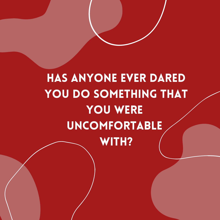HAS ANYONE EVER DARED YOU DO SOMETHING THAT YOU WERE UNCOMFORTABLE WITH?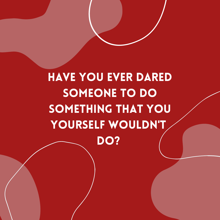HAVE YOU EVER DARED SOMEONE TO DO SOMETHING THAT YOU YOURSELF WOULDN'T DO?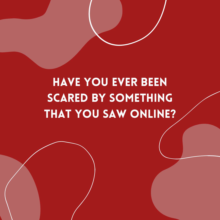## HAVE YOU EVER BEEN SCARED BY SOMETHING **THAT YOU SAW ONLINE?**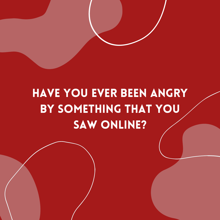## HAVE YOU EVER BEEN ANGRY BY SOMETHING THAT YOU SAW ONLINE?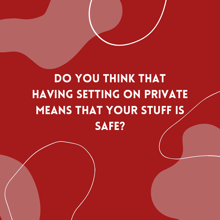## DO YOU THINK THAT HAVING SETTING ON PRIVATE MEANS THAT YOUR STUFF IS SAFE?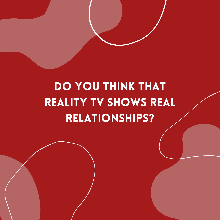# DO YOU THINK THAT REALITY TV SHOWS REAL relationships?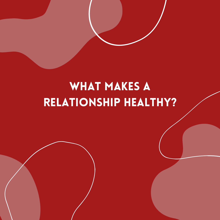#### WHAT MAKES A relationship healthy?

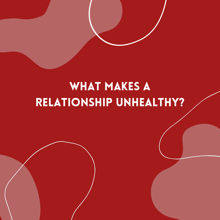#### what makes a relationship unhealthy?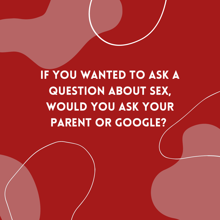if you wanted to ask a question about sex, would you ask your PARENT OR GOOGLE?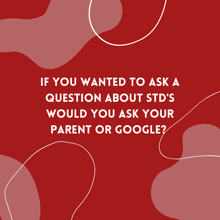## if you wanted to ask a question about STD'S WOULD YOU ASK YOUR PARENT OR GOOGLE?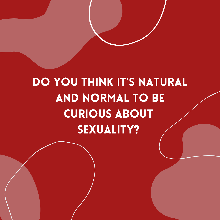# DO YOU THINK IT'S NATURAL AND NORMAL TO BE CURIOUS ABOUT SEXUALITY?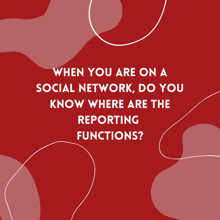WHEN YOU ARE ON A SOCIAL NETWORK, DO YOU KNOW WHERE ARE THE REPORTING FUNCTIONS?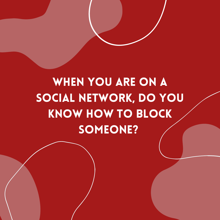## WHEN YOU ARE ON A SOCIAL NETWORK, DO YOU KNOW HOW TO BLOCK SOMEONE?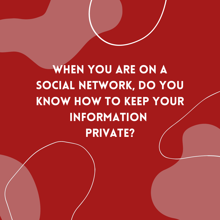WHEN YOU ARE ON A SOCIAL NETWORK, DO YOU KNOW HOW TO KEEP YOUR INFORMATION PRIVATE?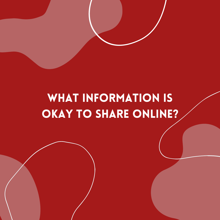#### WHAT INFORMATION IS OKAY TO SHARE ONLINE?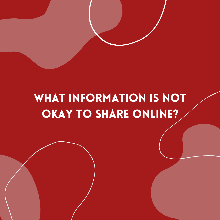#### WHAT INFORMATION IS NOT OKAY TO SHARE ONLINE?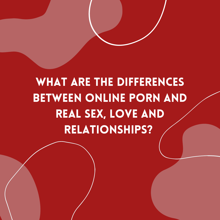# WHAT ARE THE DIFFERENCES BETWEEN ONLINE PORN AND REAL SEX, LOVE AND RELATIONSHIPS?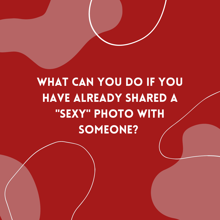# WHAT CAN YOU DO IF YOU HAVE ALREADY SHARED A "SEXY" PHOTO WITH SOMEONE?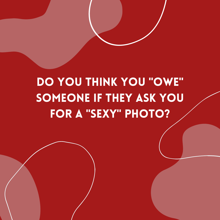## DO YOU THINK YOU "OWE" SOMEONE IF THEY ASK YOU FOR A "SEXY" PHOTO?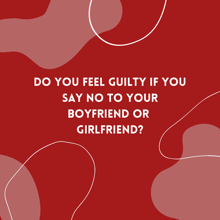# DO YOU FEEL GUILTY IF YOU SAY NO TO YOUR BOYFRIEND OR GIRLFRIEND?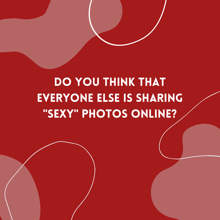## DO YOU THINK THAT EVERYONE ELSE IS SHARING "SEXY" PHOTOS ONLINE?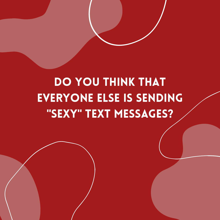## DO YOU THINK THAT EVERYONE ELSE IS SENDING "SEXY" TEXT MESSAGES?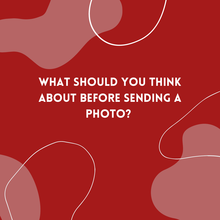## WHAT SHOULD YOU THINK ABOUT BEFORE SENDING A PHOTO?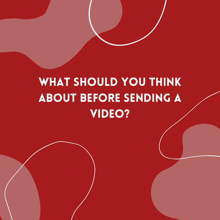#### WHAT SHOULD YOU THINK ABOUT BEFORE SENDING A VIDEO?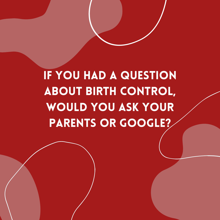IF YOU HAD A QUESTION ABOUT BIRTH CONTROL, WOULD YOU ASK YOUR PARENTS OR GOOGLE?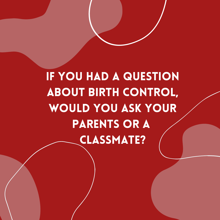IF YOU HAD A QUESTION ABOUT BIRTH CONTROL, WOULD YOU ASK YOUR PARENTS OR A CLASSMATE?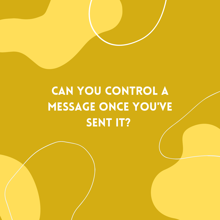# CAN YOU CONTROL A MESSAGE ONCE YOU'VE SENT IT?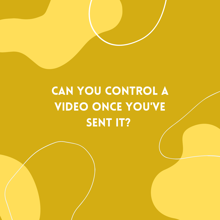# CAN YOU CONTROL A VIDEO ONCE YOU'VE SENT IT?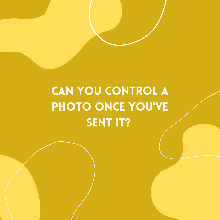# CAN YOU CONTROL A PHOTO ONCE YOU'VE SENT IT?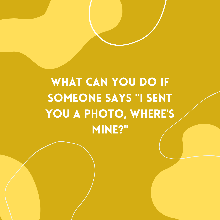# WHAT CAN YOU DO IF SOMEONE SAYS "I SENT YOU A PHOTO, WHERE'S MINE?"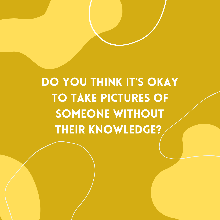# DO YOU THINK IT'S OKAY TO TAKE PICTURES OF SOMEONE WITHOUT THEIR KNOWLEDGE?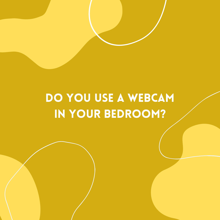#### DO YOU USE A WEBCAM IN YOUR BEDROOM?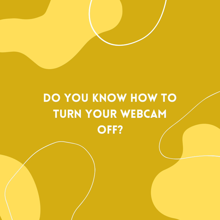# DO YOU KNOW HOW TO TURN YOUr WEBCAM OFF?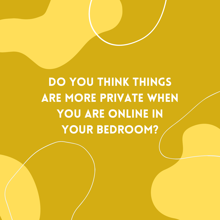DO YOU THINK THINGS ARE MORE PRIVATE WHEN YOU ARE ONLINE IN YOUR BEDROOM?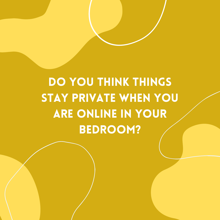# DO YOU THINK THINGS STAY PRIVATE WHEN YOU ARE ONLINE IN YOUR BEDROOM?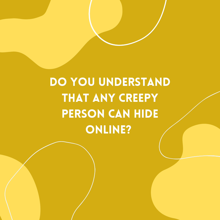# DO YOU UNDERSTAND THAT ANY CREEPY PERSON CAN HIDE ONLINE?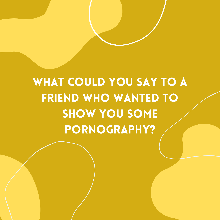# WHAT COULD YOU SAY TO A FRIEND WHO WANTED TO SHOW YOU SOME PORNOGRAPHY?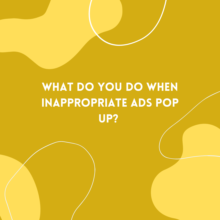# WHAT DO YOU DO WHEN INAPPROPRIATE ADS POP UP?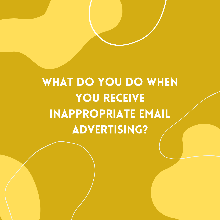# WHAT DO YOU DO WHEN YOU RECEIVE INAPPROPRIATE EMAIL ADVERTISING?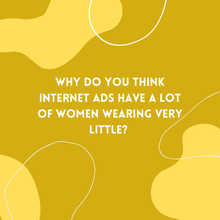# WHY DO YOU THINK INTERNET ADS HAVE A LOT OF WOMEN WEARING VERY LITTLE?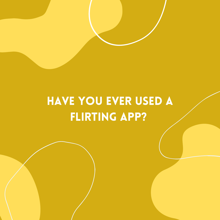#### HAVE YOU EVER USED A FLIRTING APP?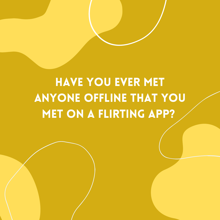## HAVE YOU EVER MET ANYONE OFFLINE THAT YOU **MET ON A FLIRTING APP?**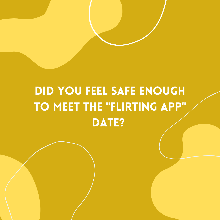## DID YOU FEEL SAFE ENOUGH TO MEET THE "FLIRTING APP" DATE?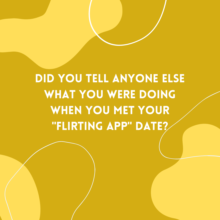DID YOU TELL ANYONE ELSE WHAT YOU WERE DOING WHEN YOU MET YOUR "FLIRTING APP" DATE?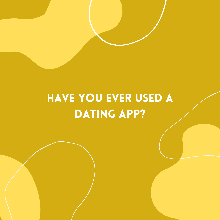#### HAVE YOU EVER USED A DATING APP?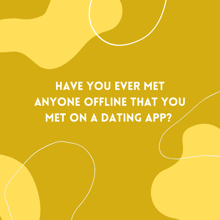## HAVE YOU EVER MET ANYONE OFFLINE THAT YOU MET ON A DATING APP?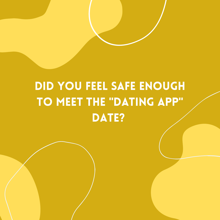## DID YOU FEEL SAFE ENOUGH TO MEET THE "DATING APP" DATE?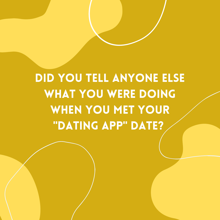DID YOU TELL ANYONE ELSE WHAT YOU WERE DOING WHEN YOU MET YOUR "DATING APP" DATE?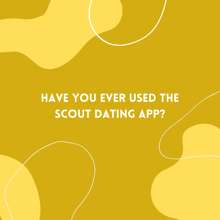#### HAVE YOU EVER USED THE SCOUT DATING APP?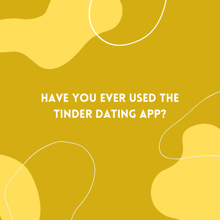#### HAVE YOU EVER USED THE TINDER DATING APP?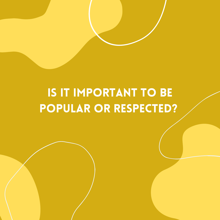### IS IT IMPORTANT TO BE POPULAR OR RESPECTED?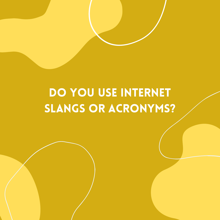### DO YOU USE INTERNET SLANGS OR ACRONYMS?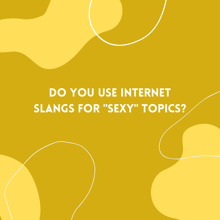### DO YOU USE INTERNET SLANGS FOR "SEXY" TOPICS?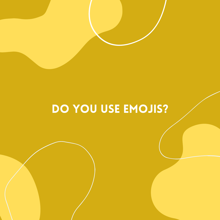#### DO YOU USE EMOJIS?

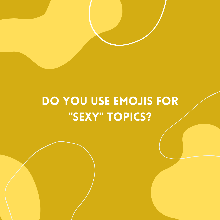#### DO YOU USE EMOJIS FOR "SEXY" TOPICS?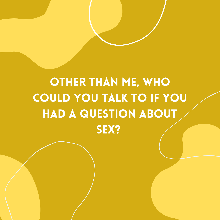# OTHER THAN ME, WHO COULD YOU TALK TO IF YOU HAD A QUESTION ABOUT SEX?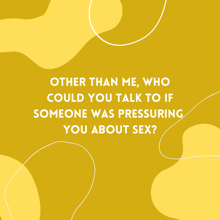# OTHER THAN ME, WHO COULD YOU TALK TO IF SOMEONE WAS PRESSURING YOU ABOUT SEX?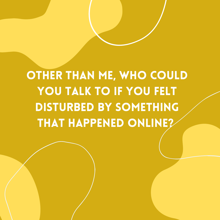OTHER THAN ME, WHO COULD YOU TALK TO IF YOU FELT DISTURBED BY SOMETHING THAT HAPPENED ONLINE?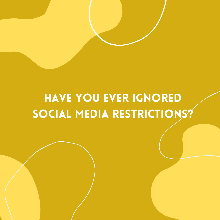### HAVE YOU EVER IGNORED SOCIAL MEDIA RESTRICTIONS?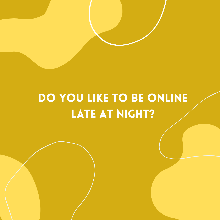#### DO YOU LIKE TO BE ONLINE LATE AT NIGHT?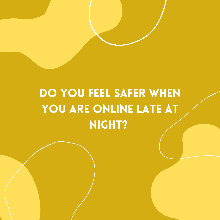# DO YOU FEEL SAFER WHEN YOU ARE ONLINE LATE AT NIGHT?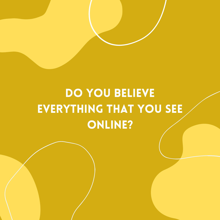# DO YOU BELIEVE EVERYTHING THAT YOU SEE ONLINE?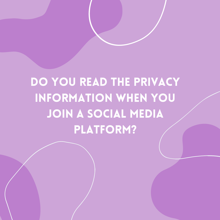# DO YOU READ THE PRIVACY INFORMATION WHEN YOU JOIN A SOCIAL MEDIA PLATFORM?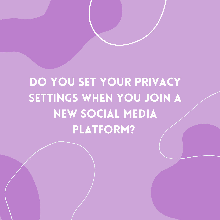# DO YOU SET YOUR PRIVACY SETTINGS WHEN YOU JOIN A NEW SOCIAL MEDIA PLATFORM?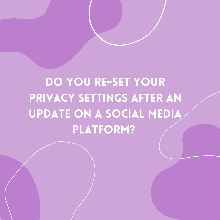# DO YOU RE-SET YOUR PRIVACY SETTINGS AFTER AN UPDATE ON A SOCIAL MEDIA PLATFORM?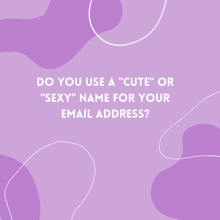## DO YOU USE A "CUTE" OR "SEXY" NAME FOR YOUR EMAIL ADDRESS?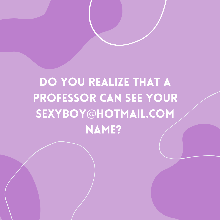# DO YOU REALIZE THAT A PROFESSOR CAN SEE YOUR SEXYBOY@HOTMAIL.COM NAME?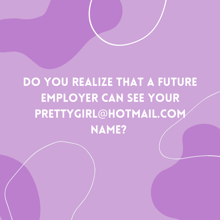# DO YOU REALIZE THAT A FUTURE EMPLOYER CAN SEE YOUR PRETTYGIRL@HOTMAIL.COM NAME?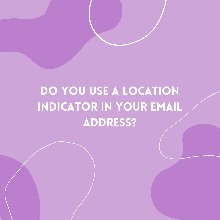## DO YOU USE A LOCATION INDICATOR IN YOUR EMAIL ADDRESS?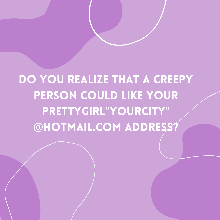# DO YOU REALIZE THAT A CREEPY PERSON COULD LIKE YOUR pRETTYGIRL"YOURCITY" @HOTMAIL.COM ADDRESS?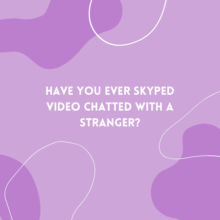## HAVE YOU EVER SKYPED VIDEO CHATTED WITH A STRANGER?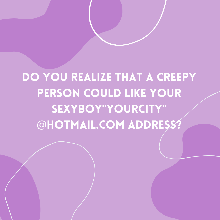DO YOU REALIZE THAT A CREEPY PERSON COULD LIKE YOUR SEXYBOY"YOURCITY" @HOTMAIL.COM ADDRESS?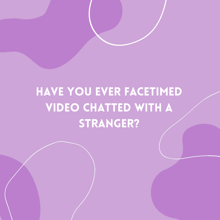## HAVE YOU EVER FACETIMED VIDEO CHATTED WITH A STRANGER?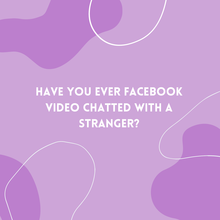# HAVE YOU EVER FACEBOOK VIDEO CHATTED WITH A STRANGER?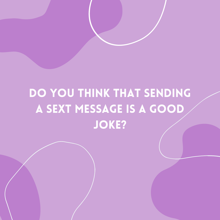## DO YOU THINK THAT SENDING A SEXT MESSAGE IS A GOOD JOKE?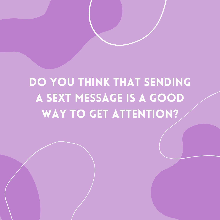## DO YOU THINK THAT SENDING A SEXT MESSAGE IS A GOOD WAY TO GET ATTENTION?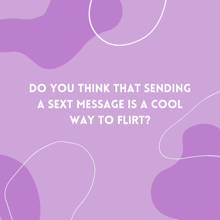## DO YOU THINK THAT SENDING A SEXT MESSAGE IS A COOL WAY TO FLIRT?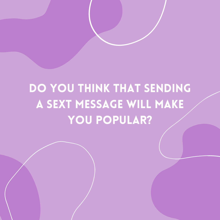## DO YOU THINK THAT SENDING A SEXT MESSAGE WILL MAKE YOU POPULAR?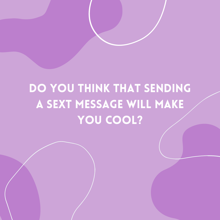## DO YOU THINK THAT SENDING A SEXT MESSAGE WILL MAKE YOU COOL?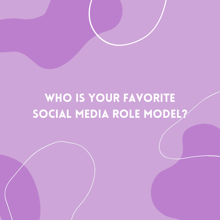### WHO IS YOUR FAVORITE SOCIAL MEDIA ROLE MODEL?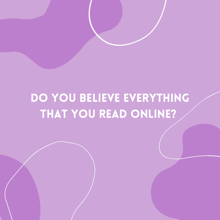#### DO YOU BELIEVE EVERYTHING THAT YOU READ ONLINE?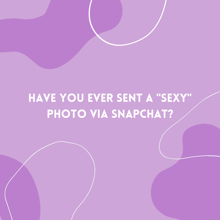#### HAVE YOU EVER SENT A "SEXY" PHOTO VIA SNAPCHAT?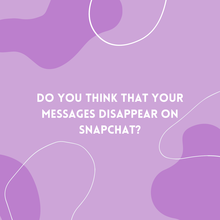### DO YOU THINK THAT YOUR MESSAGES DISAPPEAR ON SNAPCHAT?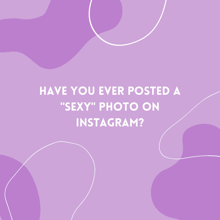## have you ever posted a "SEXY" PHOTO ON instagram?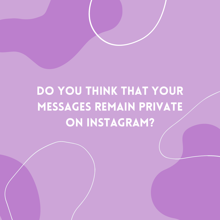# do you think that your messages remain private on instagram?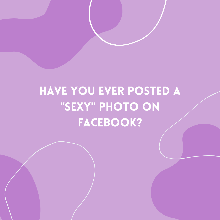## have you ever posted a "SEXY" PHOTO ON FACEBOOK?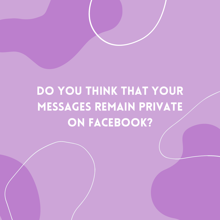## do you think that your messages remain private on facebook?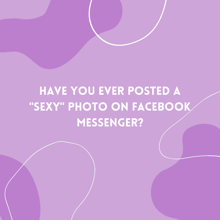### have you ever posted a "SEXY" PHOTO ON FACEBOOK MESSENGER?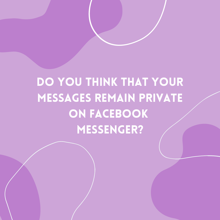# do you think that your messages remain private ON FACEBOOK MESSENGER?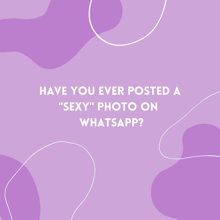### have you ever posted a "SEXY" PHOTO ON WHATSAPP?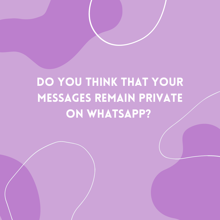# do you think that your messages remain private ON WHATSAPP?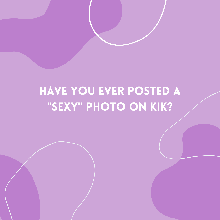#### have you ever posted a "SEXY" PHOTO ON KIK?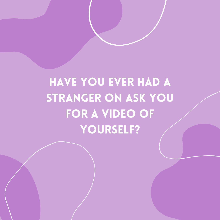# have you ever had a STRANGER ON ASK YOU for a video of yourself?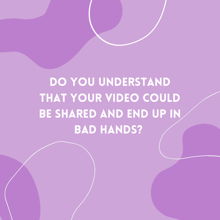# do you understand THAT YOUR VIDEO COULD BE SHARED AND END UP IN BAD HANDS?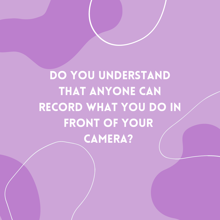do you understand THAT ANYONE CAN RECORD WHAT YOU DO IN FRONT OF YOUR camera?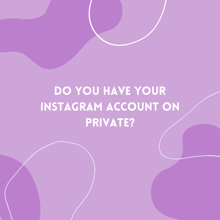## DO YOU HAVE YOUR instagram account on private?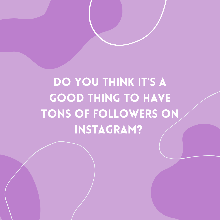# DO YOU THINK IT'S A GOOD THING TO HAVE TONS OF FOLLOWERS ON instagram?